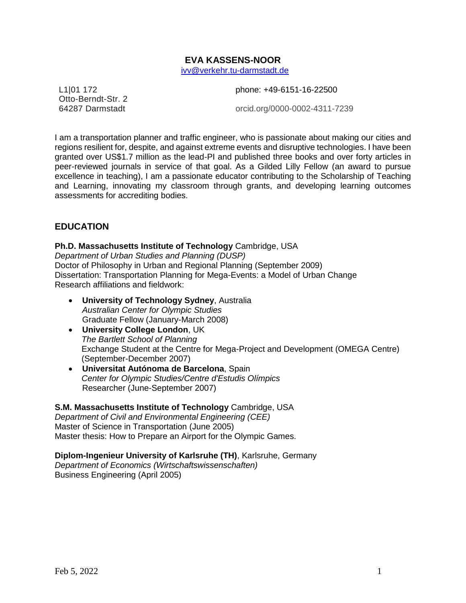# **EVA KASSENS-NOOR** ivv@verkehr.tu-darmstadt.de

L1|01 172 Otto-Berndt-Str. 2 64287 Darmstadt

phone: +49-6151-16-22500

orcid.org/0000-0002-4311-7239

I am a transportation planner and traffic engineer, who is passionate about making our cities and regions resilient for, despite, and against extreme events and disruptive technologies. I have been granted over US\$1.7 million as the lead-PI and published three books and over forty articles in peer-reviewed journals in service of that goal. As a Gilded Lilly Fellow (an award to pursue excellence in teaching), I am a passionate educator contributing to the Scholarship of Teaching and Learning, innovating my classroom through grants, and developing learning outcomes assessments for accrediting bodies.

# **EDUCATION**

# **Ph.D. Massachusetts Institute of Technology** Cambridge, USA

*Department of Urban Studies and Planning (DUSP)* Doctor of Philosophy in Urban and Regional Planning (September 2009) Dissertation: Transportation Planning for Mega-Events: a Model of Urban Change Research affiliations and fieldwork:

- **University of Technology Sydney**, Australia *Australian Center for Olympic Studies* Graduate Fellow (January-March 2008)
- **University College London**, UK *The Bartlett School of Planning*  Exchange Student at the Centre for Mega-Project and Development (OMEGA Centre) (September-December 2007)
- **Universitat Autónoma de Barcelona**, Spain *Center for Olympic Studies[/Centre d'Estudis Olímpics](http://incom-uab.net/ceouab/)* Researcher (June-September 2007)

# **S.M. Massachusetts Institute of Technology** Cambridge, USA

*Department of Civil and Environmental Engineering (CEE)* Master of Science in Transportation (June 2005) Master thesis: How to Prepare an Airport for the Olympic Games.

# **Diplom-Ingenieur University of Karlsruhe (TH)**, Karlsruhe, Germany

*Department of Economics (Wirtschaftswissenschaften)* Business Engineering (April 2005)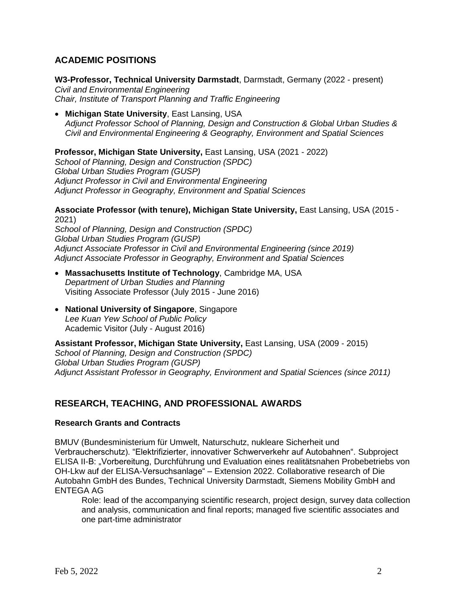# **ACADEMIC POSITIONS**

**W3-Professor, Technical University Darmstadt**, Darmstadt, Germany (2022 - present) *Civil and Environmental Engineering Chair, Institute of Transport Planning and Traffic Engineering*

• **Michigan State University**, East Lansing, USA *Adjunct Professor School of Planning, Design and Construction & Global Urban Studies & Civil and Environmental Engineering & Geography, Environment and Spatial Sciences* 

**Professor, Michigan State University,** East Lansing, USA (2021 - 2022)

*School of Planning, Design and Construction (SPDC) Global Urban Studies Program (GUSP) Adjunct Professor in Civil and Environmental Engineering Adjunct Professor in Geography, Environment and Spatial Sciences* 

**Associate Professor (with tenure), Michigan State University,** East Lansing, USA (2015 - 2021)

*School of Planning, Design and Construction (SPDC) Global Urban Studies Program (GUSP) Adjunct Associate Professor in Civil and Environmental Engineering (since 2019) Adjunct Associate Professor in Geography, Environment and Spatial Sciences* 

- **Massachusetts Institute of Technology**, Cambridge MA, USA *Department of Urban Studies and Planning* Visiting Associate Professor (July 2015 - June 2016)
- **National University of Singapore**, Singapore *Lee Kuan Yew School of Public Policy* Academic Visitor (July - August 2016)

**Assistant Professor, Michigan State University,** East Lansing, USA (2009 - 2015) *School of Planning, Design and Construction (SPDC) Global Urban Studies Program (GUSP) Adjunct Assistant Professor in Geography, Environment and Spatial Sciences (since 2011)*

# **RESEARCH, TEACHING, AND PROFESSIONAL AWARDS**

# **Research Grants and Contracts**

BMUV (Bundesministerium für Umwelt, Naturschutz, nukleare Sicherheit und Verbraucherschutz). "Elektrifizierter, innovativer Schwerverkehr auf Autobahnen". Subproject ELISA II-B: "Vorbereitung, Durchführung und Evaluation eines realitätsnahen Probebetriebs von OH-Lkw auf der ELISA-Versuchsanlage" – Extension 2022. Collaborative research of Die Autobahn GmbH des Bundes, Technical University Darmstadt, Siemens Mobility GmbH and ENTEGA AG

Role: lead of the accompanying scientific research, project design, survey data collection and analysis, communication and final reports; managed five scientific associates and one part-time administrator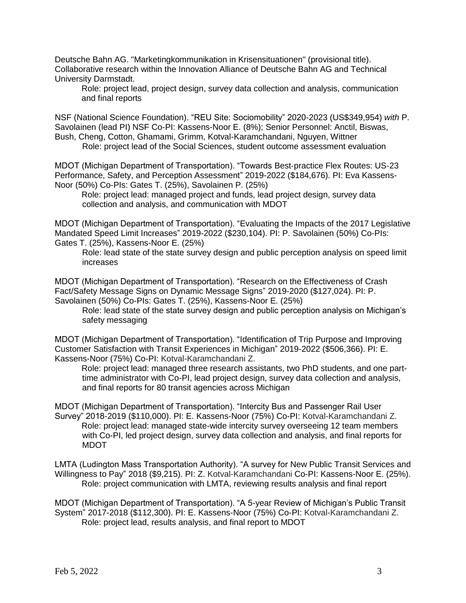Deutsche Bahn AG. "Marketingkommunikation in Krisensituationen" (provisional title). Collaborative research within the Innovation Alliance of Deutsche Bahn AG and Technical University Darmstadt.

Role: project lead, project design, survey data collection and analysis, communication and final reports

NSF (National Science Foundation). "REU Site: Sociomobility" 2020-2023 (US\$349,954) *with* P. Savolainen (lead PI) NSF Co-PI: Kassens-Noor E. (8%); Senior Personnel: Anctil, Biswas, Bush, Cheng, Cotton, Ghamami, Grimm, Kotval-Karamchandani, Nguyen, Wittner Role: project lead of the Social Sciences, student outcome assessment evaluation

MDOT (Michigan Department of Transportation). "Towards Best‐practice Flex Routes: US‐23 Performance, Safety, and Perception Assessment" 2019-2022 (\$184,676). PI: Eva Kassens-Noor (50%) Co-PIs: Gates T. (25%), Savolainen P. (25%)

Role: project lead: managed project and funds, lead project design, survey data collection and analysis, and communication with MDOT

MDOT (Michigan Department of Transportation). "Evaluating the Impacts of the 2017 Legislative Mandated Speed Limit Increases" 2019-2022 (\$230,104). PI: P. Savolainen (50%) Co-PIs: Gates T. (25%), Kassens-Noor E. (25%)

Role: lead state of the state survey design and public perception analysis on speed limit increases

MDOT (Michigan Department of Transportation). "Research on the Effectiveness of Crash Fact/Safety Message Signs on Dynamic Message Signs" 2019-2020 (\$127,024). PI: P. Savolainen (50%) Co-PIs: Gates T. (25%), Kassens-Noor E. (25%)

Role: lead state of the state survey design and public perception analysis on Michigan's safety messaging

MDOT (Michigan Department of Transportation). "Identification of Trip Purpose and Improving Customer Satisfaction with Transit Experiences in Michigan" 2019-2022 (\$506,366). PI: E. Kassens-Noor (75%) Co-PI: Kotval-Karamchandani Z.

Role: project lead: managed three research assistants, two PhD students, and one parttime administrator with Co-PI, lead project design, survey data collection and analysis, and final reports for 80 transit agencies across Michigan

MDOT (Michigan Department of Transportation). "Intercity Bus and Passenger Rail User Survey" 2018-2019 (\$110,000). PI: E. Kassens-Noor (75%) Co-PI: Kotval-Karamchandani Z. Role: project lead: managed state-wide intercity survey overseeing 12 team members with Co-PI, led project design, survey data collection and analysis, and final reports for MDOT

LMTA (Ludington Mass Transportation Authority). "A survey for New Public Transit Services and Willingness to Pay" 2018 (\$9,215). PI: Z. Kotval-Karamchandani Co-PI: Kassens-Noor E. (25%). Role: project communication with LMTA, reviewing results analysis and final report

MDOT (Michigan Department of Transportation). "A 5-year Review of Michigan's Public Transit System" 2017-2018 (\$112,300). PI: E. Kassens-Noor (75%) Co-PI: Kotval-Karamchandani Z. Role: project lead, results analysis, and final report to MDOT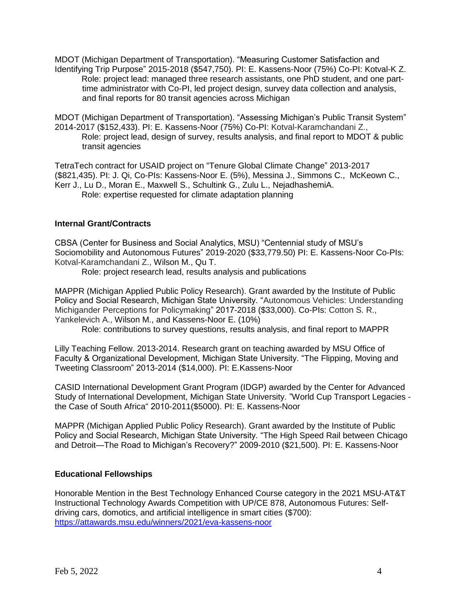MDOT (Michigan Department of Transportation). "Measuring Customer Satisfaction and Identifying Trip Purpose" 2015-2018 (\$547,750). PI: E. Kassens-Noor (75%) Co-PI: Kotval-K Z. Role: project lead: managed three research assistants, one PhD student, and one parttime administrator with Co-PI, led project design, survey data collection and analysis, and final reports for 80 transit agencies across Michigan

MDOT (Michigan Department of Transportation). "Assessing Michigan's Public Transit System" 2014-2017 (\$152,433). PI: E. Kassens-Noor (75%) Co-PI: Kotval-Karamchandani Z., Role: project lead, design of survey, results analysis, and final report to MDOT & public transit agencies

TetraTech contract for USAID project on "Tenure Global Climate Change" 2013-2017 (\$821,435). PI: J. Qi, Co-PIs: Kassens-Noor E. (5%), Messina J., Simmons C., McKeown C., Kerr J., Lu D., Moran E., Maxwell S., Schultink G., Zulu L., NejadhashemiA. Role: expertise requested for climate adaptation planning

# **Internal Grant/Contracts**

CBSA (Center for Business and Social Analytics, MSU) "Centennial study of MSU's Sociomobility and Autonomous Futures" 2019-2020 (\$33,779.50) PI: E. Kassens-Noor Co-PIs: Kotval-Karamchandani Z., Wilson M., Qu T.

Role: project research lead, results analysis and publications

MAPPR (Michigan Applied Public Policy Research). Grant awarded by the Institute of Public Policy and Social Research, Michigan State University. "Autonomous Vehicles: Understanding Michigander Perceptions for Policymaking" 2017-2018 (\$33,000). Co-PIs: Cotton S. R., Yankelevich A., Wilson M., and Kassens-Noor E. (10%)

Role: contributions to survey questions, results analysis, and final report to MAPPR

Lilly Teaching Fellow. 2013-2014. Research grant on teaching awarded by MSU Office of Faculty & Organizational Development, Michigan State University. "The Flipping, Moving and Tweeting Classroom" 2013-2014 (\$14,000). PI: E.Kassens-Noor

CASID International Development Grant Program (IDGP) awarded by the Center for Advanced Study of International Development, Michigan State University. "World Cup Transport Legacies the Case of South Africa" 2010-2011(\$5000). PI: E. Kassens-Noor

MAPPR (Michigan Applied Public Policy Research). Grant awarded by the Institute of Public Policy and Social Research, Michigan State University. "The High Speed Rail between Chicago and Detroit—The Road to Michigan's Recovery?" 2009-2010 (\$21,500). PI: E. Kassens-Noor

# **Educational Fellowships**

Honorable Mention in the Best Technology Enhanced Course category in the 2021 MSU-AT&T Instructional Technology Awards Competition with UP/CE 878, Autonomous Futures: Selfdriving cars, domotics, and artificial intelligence in smart cities (\$700): <https://attawards.msu.edu/winners/2021/eva-kassens-noor>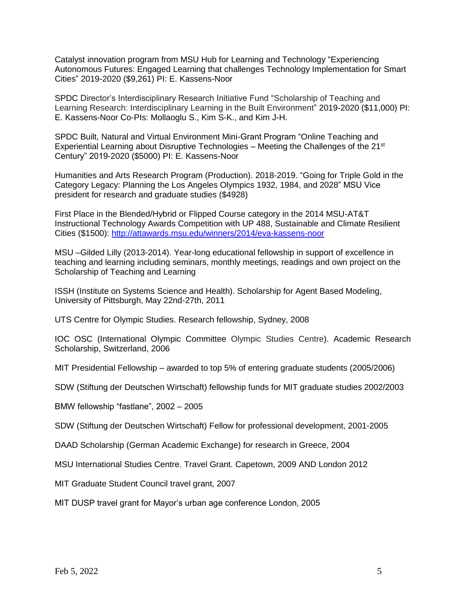Catalyst innovation program from MSU Hub for Learning and Technology "Experiencing Autonomous Futures: Engaged Learning that challenges Technology Implementation for Smart Cities" 2019-2020 (\$9,261) PI: E. Kassens-Noor

SPDC Director's Interdisciplinary Research Initiative Fund "Scholarship of Teaching and Learning Research: Interdisciplinary Learning in the Built Environment" 2019-2020 (\$11,000) PI: E. Kassens-Noor Co-PIs: Mollaoglu S., Kim S-K., and Kim J-H.

SPDC Built, Natural and Virtual Environment Mini-Grant Program "Online Teaching and Experiential Learning about Disruptive Technologies – Meeting the Challenges of the 21<sup>st</sup> Century" 2019-2020 (\$5000) PI: E. Kassens-Noor

Humanities and Arts Research Program (Production). 2018-2019. "Going for Triple Gold in the Category Legacy: Planning the Los Angeles Olympics 1932, 1984, and 2028" MSU Vice president for research and graduate studies (\$4928)

First Place in the Blended/Hybrid or Flipped Course category in the 2014 MSU-AT&T Instructional Technology Awards Competition with UP 488, Sustainable and Climate Resilient Cities (\$1500): http://attawards.msu.edu/winners/2014/eva-kassens-noor

MSU –Gilded Lilly (2013-2014). Year-long educational fellowship in support of excellence in teaching and learning including seminars, monthly meetings, readings and own project on the Scholarship of Teaching and Learning

ISSH (Institute on Systems Science and Health). Scholarship for Agent Based Modeling, University of Pittsburgh, May 22nd-27th, 2011

UTS Centre for Olympic Studies. Research fellowship, Sydney, 2008

IOC OSC (International Olympic Committee Olympic Studies Centre). Academic Research Scholarship, Switzerland, 2006

MIT Presidential Fellowship – awarded to top 5% of entering graduate students (2005/2006)

SDW (Stiftung der Deutschen Wirtschaft) fellowship funds for MIT graduate studies 2002/2003

BMW fellowship "fastlane", 2002 – 2005

SDW (Stiftung der Deutschen Wirtschaft) Fellow for professional development, 2001-2005

DAAD Scholarship (German Academic Exchange) for research in Greece, 2004

MSU International Studies Centre. Travel Grant. Capetown, 2009 AND London 2012

MIT Graduate Student Council travel grant, 2007

MIT DUSP travel grant for Mayor's urban age conference London, 2005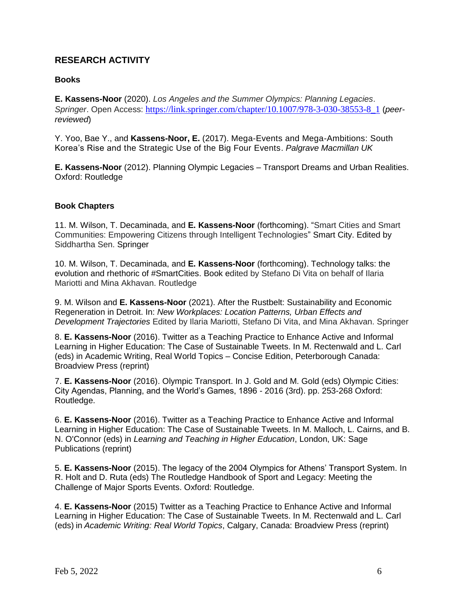# **RESEARCH ACTIVITY**

# **Books**

**E. Kassens-Noor** (2020). *Los Angeles and the Summer Olympics: Planning Legacies*. *Springer*. Open Access: [https://link.springer.com/chapter/10.1007/978-3-030-38553-8\\_1](https://link.springer.com/chapter/10.1007/978-3-030-38553-8_1) (*peerreviewed*)

Y. Yoo, Bae Y., and **Kassens-Noor, E.** (2017). Mega-Events and Mega-Ambitions: South Korea's Rise and the Strategic Use of the Big Four Events. *Palgrave Macmillan UK* 

**E. Kassens-Noor** (2012). Planning Olympic Legacies – Transport Dreams and Urban Realities. Oxford: Routledge

# **Book Chapters**

11. M. Wilson, T. Decaminada, and **E. Kassens-Noor** (forthcoming). "Smart Cities and Smart Communities: Empowering Citizens through Intelligent Technologies" Smart City. Edited by Siddhartha Sen. Springer

10. M. Wilson, T. Decaminada, and **E. Kassens-Noor** (forthcoming). Technology talks: the evolution and rhethoric of #SmartCities. Book edited by Stefano Di Vita on behalf of Ilaria Mariotti and Mina Akhavan. Routledge

9. M. Wilson and **E. Kassens-Noor** (2021). After the Rustbelt: Sustainability and Economic Regeneration in Detroit. In: *New Workplaces: Location Patterns, Urban Effects and Development Trajectories* Edited by Ilaria Mariotti, Stefano Di Vita, and Mina Akhavan. Springer

8. **E. Kassens-Noor** (2016). Twitter as a Teaching Practice to Enhance Active and Informal Learning in Higher Education: The Case of Sustainable Tweets. In M. [Rectenwald](https://broadviewpress.com/browse/?post_type=product&s=%22author%3AMichael+Rectenwald%22&orderby=title) and [L. Carl](https://broadviewpress.com/browse/?post_type=product&s=%22author%3ALisa+Carl%22&orderby=title) (eds) in Academic Writing, Real World Topics – Concise Edition, Peterborough Canada: Broadview Press (reprint)

7. **E. Kassens-Noor** (2016). Olympic Transport. In J. Gold and M. Gold (eds) Olympic Cities: City Agendas, Planning, and the World's Games, 1896 - 2016 (3rd). pp. 253-268 Oxford: Routledge.

6. **E. Kassens-Noor** (2016). Twitter as a Teaching Practice to Enhance Active and Informal Learning in Higher Education: The Case of Sustainable Tweets. In M. Malloch, L. Cairns, and B. N. O'Connor (eds) in *Learning and Teaching in Higher Education*, London, UK: Sage Publications (reprint)

5. **E. Kassens-Noor** (2015). The legacy of the 2004 Olympics for Athens' Transport System. In R. Holt and D. Ruta (eds) The Routledge Handbook of Sport and Legacy: Meeting the Challenge of Major Sports Events. Oxford: Routledge.

4. **E. Kassens-Noor** (2015) Twitter as a Teaching Practice to Enhance Active and Informal Learning in Higher Education: The Case of Sustainable Tweets. In M. Rectenwald and L. Carl (eds) in *Academic Writing: Real World Topics*, Calgary, Canada: Broadview Press (reprint)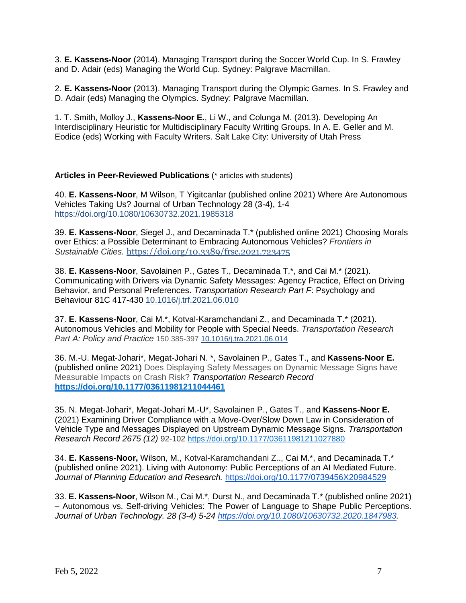3. **E. Kassens-Noor** (2014). Managing Transport during the Soccer World Cup. In S. Frawley and D. Adair (eds) Managing the World Cup. Sydney: Palgrave Macmillan.

2. **E. Kassens-Noor** (2013). Managing Transport during the Olympic Games. In S. Frawley and D. Adair (eds) Managing the Olympics. Sydney: Palgrave Macmillan.

1. T. Smith, Molloy J., **Kassens-Noor E.**, Li W., and Colunga M. (2013). Developing An Interdisciplinary Heuristic for Multidisciplinary Faculty Writing Groups. In A. E. Geller and M. Eodice (eds) Working with Faculty Writers. Salt Lake City: University of Utah Press

# **Articles in Peer-Reviewed Publications** (\* articles with students)

40. **E. Kassens-Noor**, M Wilson, T Yigitcanlar (published online 2021) [Where Are Autonomous](https://scholar.google.com/citations?view_op=view_citation&hl=en&user=sW3fKzwAAAAJ&cstart=20&pagesize=80&citation_for_view=sW3fKzwAAAAJ:yeL6HyUMUGUC)  [Vehicles Taking Us?](https://scholar.google.com/citations?view_op=view_citation&hl=en&user=sW3fKzwAAAAJ&cstart=20&pagesize=80&citation_for_view=sW3fKzwAAAAJ:yeL6HyUMUGUC) Journal of Urban Technology 28 (3-4), 1-4 <https://doi.org/10.1080/10630732.2021.1985318>

39. **E. Kassens-Noor**, Siegel J., and Decaminada T.\* (published online 2021) Choosing Morals over Ethics: a Possible Determinant to Embracing Autonomous Vehicles? *Frontiers in Sustainable Cities.* <https://doi.org/10.3389/frsc.2021.723475>

38. **E. Kassens-Noor**, Savolainen P., Gates T., Decaminada T.\*, and Cai M.\* (2021). Communicating with Drivers via Dynamic Safety Messages: Agency Practice, Effect on Driving Behavior, and Personal Preferences. *Transportation Research Part F*: Psychology and Behaviour 81C 417-430 [10.1016/j.trf.2021.06.010](https://doi.org/10.1016/j.trf.2021.06.010)

37. **E. Kassens-Noor**, Cai M.\*, Kotval-Karamchandani Z., and Decaminada T.\* (2021). Autonomous Vehicles and Mobility for People with Special Needs. *Transportation Research Part A: Policy and Practice* 150 385-397 10.1016/j.tra.2021.06.014

36. M.-U. Megat-Johari\*, Megat-Johari N. \*, Savolainen P., Gates T., and **Kassens-Noor E.**  (published online 2021) [Does Displaying Safety Messages on Dynamic Message Signs have](javascript:void(0))  [Measurable Impacts on Crash Risk?](javascript:void(0)) *Transportation Research Record*  **[https://doi.org/10.1177/03611981211044461](https://doi.org/10.1177%2F03611981211044461)**

35. N. Megat-Johari\*, Megat-Johari M.-U\*, Savolainen P., Gates T., and **Kassens-Noor E.** (2021) Examining Driver Compliance with a Move-Over/Slow Down Law in Consideration of Vehicle Type and Messages Displayed on Upstream Dynamic Message Signs. *Transportation Research Record 2675 (12)* 92-102 [https://doi.org/10.1177/03611981211027880](https://doi.org/10.1177%2F03611981211027880)

34. **E. Kassens-Noor,** Wilson, M., Kotval-Karamchandani Z.., Cai M.\*, and Decaminada T.\* (published online 2021). Living with Autonomy: Public Perceptions of an AI Mediated Future. *Journal of Planning Education and Research.* <https://doi.org/10.1177/0739456X20984529>

33. **E. Kassens-Noor**, Wilson M., Cai M.\*, Durst N., and Decaminada T.\* (published online 2021) – Autonomous vs. Self-driving Vehicles: The Power of Language to Shape Public Perceptions. *Journal of Urban Technology. 28 (3-4) 5-24 [https://doi.org/10.1080/10630732.2020.1847983.](https://doi.org/10.1080/10630732.2020.1847983)*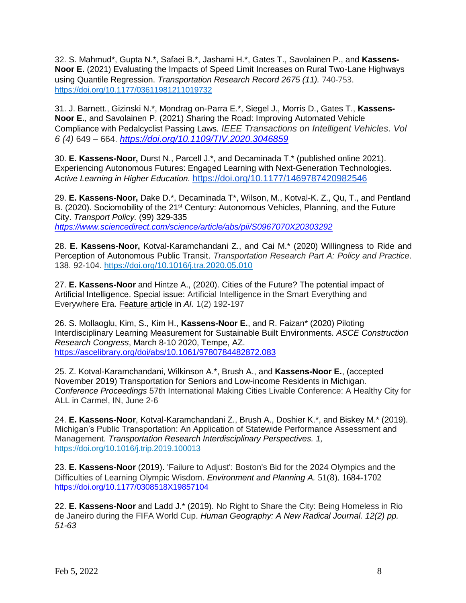32. S. Mahmud\*, Gupta N.\*, Safaei B.\*, Jashami H.\*, Gates T., Savolainen P., and **Kassens-Noor E.** (2021) Evaluating the Impacts of Speed Limit Increases on Rural Two-Lane Highways using Quantile Regression. *Transportation Research Record 2675 (11).* 740-753. [https://doi.org/10.1177/03611981211019732](https://doi.org/10.1177%2F03611981211019732)

31. J. Barnett., Gizinski N.\*, Mondrag on-Parra E.\*, Siegel J., Morris D., Gates T., **Kassens-Noor E.**, and Savolainen P. (2021) *S*haring the Road: Improving Automated Vehicle Compliance with Pedalcyclist Passing Laws*. IEEE Transactions on Intelligent Vehicles. Vol 6 (4)* 649 – 664. *<https://doi.org/10.1109/TIV.2020.3046859>*

30. **E. Kassens-Noor,** Durst N., Parcell J.\*, and Decaminada T.\* (published online 2021). Experiencing Autonomous Futures: Engaged Learning with Next-Generation Technologies. *Active Learning in Higher Education.* <https://doi.org/10.1177/1469787420982546>

29. **E. Kassens-Noor,** Dake D.\*, Decaminada T\*, Wilson, M., Kotval-K. Z., Qu, T., and Pentland B. (2020). Sociomobility of the 21<sup>st</sup> Century: Autonomous Vehicles, Planning, and the Future City. *Transport Policy.* (99) 329-335 *<https://www.sciencedirect.com/science/article/abs/pii/S0967070X20303292>*

28. **E. Kassens-Noor,** Kotval-Karamchandani Z., and Cai M.\* (2020) Willingness to Ride and Perception of Autonomous Public Transit. *Transportation Research Part A: Policy and Practice*. 138. 92-104.<https://doi.org/10.1016/j.tra.2020.05.010>

27. **E. Kassens-Noor** and Hintze A., (2020). Cities of the Future? The potential impact of Artificial Intelligence. Special issue: Artificial Intelligence in the Smart Everything and Everywhere Era. Feature article in *AI.* 1(2) 192-197

26. S. Mollaoglu, Kim, S., Kim H., **Kassens-Noor E.**, and R. Faizan\* (2020) Piloting Interdisciplinary Learning Measurement for Sustainable Built Environments. *ASCE Construction Research Congress*, March 8-10 2020, Tempe, AZ. <https://ascelibrary.org/doi/abs/10.1061/9780784482872.083>

25. Z. Kotval-Karamchandani, Wilkinson A.\*, Brush A., and **Kassens-Noor E.**, (accepted November 2019) Transportation for Seniors and Low-income Residents in Michigan. *Conference Proceedings* 57th International Making Cities Livable Conference: A Healthy City for ALL in Carmel, IN, June 2-6

24. **E. Kassens-Noor**, Kotval-Karamchandani Z., Brush A., Doshier K.\*, and Biskey M.\* (2019). Michigan's Public Transportation: An Application of Statewide Performance Assessment and Management. *Transportation Research Interdisciplinary Perspectives. 1,*  <https://doi.org/10.1016/j.trip.2019.100013>

23. **E. Kassens-Noor** (2019). 'Failure to Adjust': Boston's Bid for the 2024 Olympics and the Difficulties of Learning Olympic Wisdom. *Environment and Planning A.* 51(8). 1684-1702 <https://doi.org/10.1177/0308518X19857104>

22. **E. Kassens-Noor** and Ladd J.\* (2019). No Right to Share the City: Being Homeless in Rio de Janeiro during the FIFA World Cup. *Human Geography: A New Radical Journal. 12(2) pp. 51-63*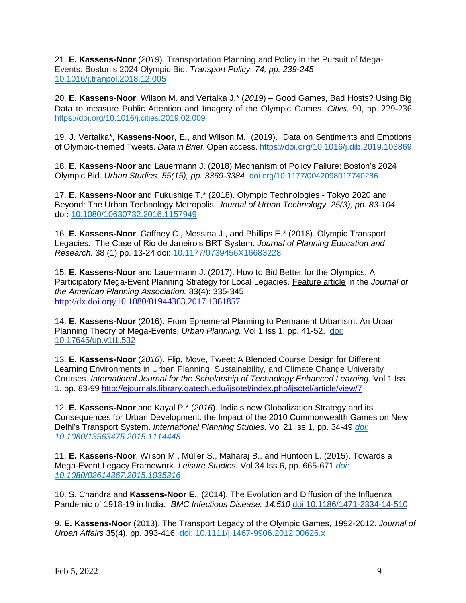21. **E. Kassens-Noor** (*2019*). Transportation Planning and Policy in the Pursuit of Mega-Events: Boston's 2024 Olympic Bid. *Transport Policy. 74, pp. 239-245*  [10.1016/j.tranpol.2018.12.005](https://doi.org/10.1016/j.tranpol.2018.12.005)

20. **E. Kassens-Noor**, Wilson M. and Vertalka J.\* (*2019*) – Good Games, Bad Hosts? Using Big Data to measure Public Attention and Imagery of the Olympic Games. *Cities.* 90, pp. 229-236 <https://doi.org/10.1016/j.cities.2019.02.009>

19. J. Vertalka\*, **Kassens-Noor, E.**, and Wilson M., (2019). Data on Sentiments and Emotions of Olympic-themed Tweets. *Data in Brief*. Open access. <https://doi.org/10.1016/j.dib.2019.103869>

18. **E. Kassens-Noor** and Lauermann J. (2018) Mechanism of Policy Failure: Boston's 2024 Olympic Bid. *Urban Studies. 55(15), pp. 3369-3384* [doi.org/10.1177/0042098017740286](https://doi.org/10.1177/0042098017740286)

17. **E. Kassens-Noor** and Fukushige T.\* (2018). Olympic Technologies - Tokyo 2020 and Beyond: The Urban Technology Metropolis. *Journal of Urban Technology. 25(3), pp. 83-104* doi**:** 10.1080/10630732.2016.1157949

16. **E. Kassens-Noor**, Gaffney C., Messina J., and Phillips E.\* (2018). Olympic Transport Legacies: The Case of Rio de Janeiro's BRT System. *Journal of Planning Education and Research.* 38 (1) pp. 13-24 doi: 10.1177/0739456X16683228

15. **E. Kassens-Noor** and Lauermann J. (2017). How to Bid Better for the Olympics: A Participatory Mega-Event Planning Strategy for Local Legacies. Feature article in the *Journal of the American Planning Association.* 83(4): 335-345 <http://dx.doi.org/10.1080/01944363.2017.1361857>

14. **E. Kassens-Noor** (2016). From Ephemeral Planning to Permanent Urbanism: An Urban Planning Theory of Mega-Events. *Urban Planning*. Vol 1 Iss 1. pp. 41-52. doi: 10.17645/up.v1i1.532

13. **E. Kassens-Noor** (*2016*). Flip, Move, Tweet: A Blended Course Design for Different Learning Environments in Urban Planning, Sustainability, and Climate Change University Courses. *International Journal for the Scholarship of Technology Enhanced Learning.* Vol 1 Iss 1. pp. 83-99<http://ejournals.library.gatech.edu/ijsotel/index.php/ijsotel/article/view/7>

12. **E. Kassens-Noor** and Kayal P.\* (*2016*). India's new Globalization Strategy and its Consequences for Urban Development: the Impact of the 2010 Commonwealth Games on New Delhi's Transport System. *International Planning Studies*. Vol 21 Iss 1, pp. 34-49 *[doi:](http://www.tandfonline.com/doi/full/10.1080/02614367.2015.1035316)  [10.1080/](http://www.tandfonline.com/doi/full/10.1080/02614367.2015.1035316)13563475.2015.1114448*

11. **E. Kassens-Noor**, Wilson M., Müller S., Maharaj B., and Huntoon L. (2015). Towards a Mega-Event Legacy Framework. *Leisure Studies.* Vol 34 Iss 6, pp. 665-671 *[doi:](http://www.tandfonline.com/doi/full/10.1080/02614367.2015.1035316) [10.1080/02614367.2015.1035316](http://www.tandfonline.com/doi/full/10.1080/02614367.2015.1035316)*

10. S. Chandra and **Kassens-Noor E.**, (2014). The Evolution and Diffusion of the Influenza Pandemic of 1918-19 in India. *BMC Infectious Disease: 14:510* doi:10.1186/1471-2334-14-510

9. **E. Kassens-Noor** (2013). The Transport Legacy of the Olympic Games, 1992-2012. *Journal of Urban Affairs* 35(4), pp. 393-416. [doi: 10.1111/j.1467-9906.2012.00626.x](https://doi.org/10.1111/j.1467-9906.2012.00626.x)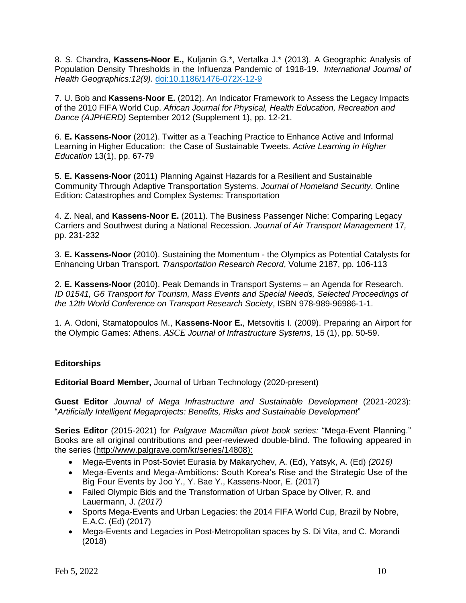8. S. Chandra, **Kassens-Noor E.,** Kuljanin G.\*, Vertalka J.\* (2013). A Geographic Analysis of Population Density Thresholds in the Influenza Pandemic of 1918-19. *International Journal of Health Geographics:12(9).* doi:10.1186/1476-072X-12-9

7. U. Bob and **Kassens-Noor E.** (2012). An Indicator Framework to Assess the Legacy Impacts of the 2010 FIFA World Cup. *African Journal for Physical, Health Education, Recreation and Dance (AJPHERD)* September 2012 (Supplement 1), pp. 12-21.

6. **E. Kassens-Noor** (2012). Twitter as a Teaching Practice to Enhance Active and Informal Learning in Higher Education: the Case of Sustainable Tweets. *Active Learning in Higher Education* 13(1), pp. 67-79

5. **E. Kassens-Noor** (2011) Planning Against Hazards for a Resilient and Sustainable Community Through Adaptive Transportation Systems*. Journal of Homeland Security*. Online Edition: Catastrophes and Complex Systems: Transportation

4. Z. Neal, and **Kassens-Noor E.** (2011). The Business Passenger Niche: Comparing Legacy Carriers and Southwest during a National Recession. *Journal of Air Transport Management* 17*,*  pp. 231-232

3. **E. Kassens-Noor** (2010). Sustaining the Momentum - the Olympics as Potential Catalysts for Enhancing Urban Transport. *Transportation Research Record*, Volume 2187, pp. 106-113

2. **E. Kassens-Noor** (2010). Peak Demands in Transport Systems – an Agenda for Research. *ID 01541, G6 Transport for Tourism, Mass Events and Special Needs, Selected Proceedings of the 12th World Conference on Transport Research Society*, ISBN 978-989-96986-1-1.

1. A. Odoni, Stamatopoulos M., **Kassens-Noor E.**, Metsovitis I. (2009). Preparing an Airport for the Olympic Games: Athens. *ASCE Journal of Infrastructure Systems*, 15 (1), pp. 50-59.

# **Editorships**

**Editorial Board Member,** Journal of Urban Technology (2020-present)

**Guest Editor** *Journal of Mega Infrastructure and Sustainable Development* (2021-2023): "*Artificially Intelligent Megaprojects: Benefits, Risks and Sustainable Development*"

**Series Editor** (2015-2021) for *Palgrave Macmillan pivot book series:* "Mega-Event Planning." Books are all original contributions and peer-reviewed double-blind. The following appeared in the series [\(http://www.palgrave.com/kr/series/14808\)](http://www.palgrave.com/kr/series/14808):

- [Mega-Events](http://www.palgrave.com/kr/book/978-1-137-49094-0) in Post-Soviet Eurasia by Makarychev, A. (Ed), Yatsyk, A. (Ed) *(2016)*
- Mega-Events and Mega-Ambitions: South Korea's Rise and the Strategic Use of the Big Four Events by Joo Y., Y. Bae Y., Kassens-Noor, E. (2017)
- Failed Olympic Bids and the [Transformation](https://www.palgrave.com/br/book/978-1-137-59822-6) of Urban Space by Oliver, R. and Lauermann, J. *(2017)*
- Sports Mega-Events and Urban Legacies: the 2014 FIFA World Cup, Brazil by Nobre, E.A.C. (Ed) (2017)
- Mega-Events and Legacies in Post-Metropolitan spaces by S. Di Vita, and C. Morandi (2018)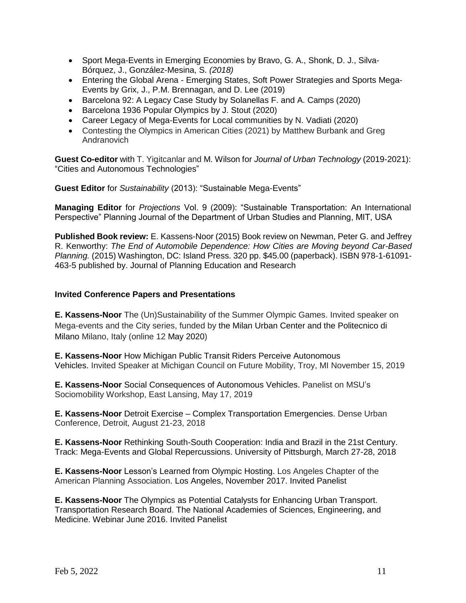- Sport [Mega-Events](https://www.palgrave.com/kr/book/9781137568878) in Emerging Economies by Bravo, G. A., Shonk, D. J., Silva-Bórquez, J., González-Mesina, S. *(2018)*
- Entering the Global Arena Emerging States, Soft Power Strategies and Sports Mega-Events by Grix, J., P.M. Brennagan, and D. Lee (2019)
- Barcelona 92: A Legacy Case Study by Solanellas F. and A. Camps (2020)
- Barcelona 1936 Popular Olympics by J. Stout (2020)
- Career Legacy of Mega-Events for Local communities by N. Vadiati (2020)
- Contesting the Olympics in American Cities (2021) by Matthew Burbank and Greg Andranovich

**Guest Co-editor** with T. Yigitcanlar and M. Wilson for *Journal of Urban Technology* (2019-2021): "Cities and Autonomous Technologies"

**Guest Editor** for *Sustainability* (2013): "Sustainable Mega-Events"

**Managing Editor** for *Projections* Vol. 9 (2009): "Sustainable Transportation: An International Perspective" Planning Journal of the Department of Urban Studies and Planning, MIT, USA

**Published Book review:** E. Kassens-Noor (2015) Book review on Newman, Peter G. and Jeffrey R. Kenworthy: *The End of Automobile Dependence: How Cities are Moving beyond Car-Based Planning.* (2015) Washington, DC: Island Press. 320 pp. \$45.00 (paperback). ISBN 978-1-61091- 463-5 published by. Journal of Planning Education and Research

# **Invited Conference Papers and Presentations**

**E. Kassens-Noor** The (Un)Sustainability of the Summer Olympic Games. Invited speaker on Mega-events and the City series, funded by the Milan Urban Center and the Politecnico di Milano Milano, Italy (online 12 May 2020)

**E. Kassens-Noor** How Michigan Public Transit Riders Perceive Autonomous Vehicles. Invited Speaker at Michigan Council on Future Mobility, Troy, MI November 15, 2019

**E. Kassens-Noor** Social Consequences of Autonomous Vehicles. Panelist on MSU's Sociomobility Workshop, East Lansing, May 17, 2019

**E. Kassens-Noor** Detroit Exercise – Complex Transportation Emergencies. Dense Urban Conference, Detroit, August 21-23, 2018

**E. Kassens-Noor** Rethinking South-South Cooperation: India and Brazil in the 21st Century. Track: Mega-Events and Global Repercussions. University of Pittsburgh, March 27-28, 2018

**E. Kassens-Noor** Lesson's Learned from Olympic Hosting. Los Angeles Chapter of the American Planning Association. Los Angeles, November 2017. Invited Panelist

**E. Kassens-Noor** The Olympics as Potential Catalysts for Enhancing Urban Transport. Transportation Research Board. The National Academies of Sciences, Engineering, and Medicine. Webinar June 2016. Invited Panelist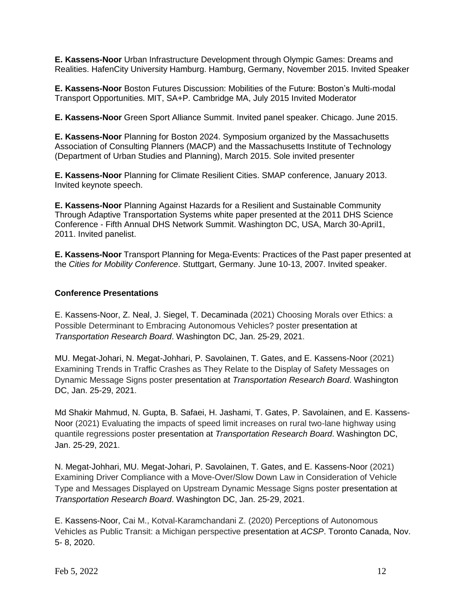**E. Kassens-Noor** Urban Infrastructure Development through Olympic Games: Dreams and Realities. HafenCity University Hamburg. Hamburg, Germany, November 2015. Invited Speaker

**E. Kassens-Noor** Boston Futures Discussion: Mobilities of the Future: Boston's Multi-modal Transport Opportunities. MIT, SA+P. Cambridge MA, July 2015 Invited Moderator

**E. Kassens-Noor** Green Sport Alliance Summit. Invited panel speaker. Chicago. June 2015.

**E. Kassens-Noor** Planning for Boston 2024. Symposium organized by the Massachusetts Association of Consulting Planners (MACP) and the Massachusetts Institute of Technology (Department of Urban Studies and Planning), March 2015. Sole invited presenter

**E. Kassens-Noor** Planning for Climate Resilient Cities. SMAP conference, January 2013. Invited keynote speech.

**E. Kassens-Noor** Planning Against Hazards for a Resilient and Sustainable Community Through Adaptive Transportation Systems white paper presented at the 2011 DHS Science Conference - Fifth Annual DHS Network Summit. Washington DC, USA, March 30-April1, 2011. Invited panelist.

**E. Kassens-Noor** Transport Planning for Mega-Events: Practices of the Past paper presented at the *Cities for Mobility Conference*. Stuttgart, Germany. June 10-13, 2007. Invited speaker.

# **Conference Presentations**

E. Kassens-Noor, Z. Neal, J. Siegel, T. Decaminada (2021) Choosing Morals over Ethics: a Possible Determinant to Embracing Autonomous Vehicles? poster presentation at *Transportation Research Board*. Washington DC, Jan. 25-29, 2021.

MU. Megat-Johari, N. Megat-Johhari, P. Savolainen, T. Gates, and E. Kassens-Noor (2021) Examining Trends in Traffic Crashes as They Relate to the Display of Safety Messages on Dynamic Message Signs poster presentation at *Transportation Research Board*. Washington DC, Jan. 25-29, 2021.

Md Shakir Mahmud, N. Gupta, B. Safaei, H. Jashami, T. Gates, P. Savolainen, and E. Kassens-Noor (2021) Evaluating the impacts of speed limit increases on rural two-lane highway using quantile regressions poster presentation at *Transportation Research Board*. Washington DC, Jan. 25-29, 2021.

N. Megat-Johhari, MU. Megat-Johari, P. Savolainen, T. Gates, and E. Kassens-Noor (2021) Examining Driver Compliance with a Move-Over/Slow Down Law in Consideration of Vehicle Type and Messages Displayed on Upstream Dynamic Message Signs poster presentation at *Transportation Research Board*. Washington DC, Jan. 25-29, 2021.

E. Kassens-Noor, Cai M., Kotval-Karamchandani Z. (2020) Perceptions of Autonomous Vehicles as Public Transit: a Michigan perspective presentation at *ACSP*. Toronto Canada, Nov. 5- 8, 2020.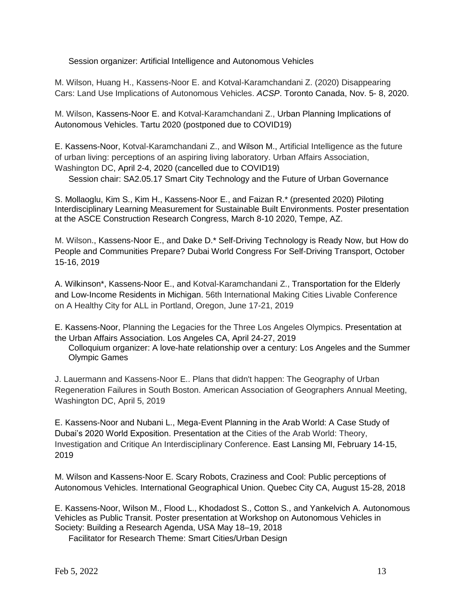Session organizer: Artificial Intelligence and Autonomous Vehicles

M. Wilson, Huang H., Kassens-Noor E. and Kotval-Karamchandani Z. (2020) Disappearing Cars: Land Use Implications of Autonomous Vehicles. *ACSP*. Toronto Canada, Nov. 5- 8, 2020.

M. Wilson, Kassens-Noor E. and Kotval-Karamchandani Z., Urban Planning Implications of Autonomous Vehicles. Tartu 2020 (postponed due to COVID19)

E. Kassens-Noor, Kotval-Karamchandani Z., and Wilson M., Artificial Intelligence as the future of urban living: perceptions of an aspiring living laboratory. Urban Affairs Association, Washington DC, April 2-4, 2020 (cancelled due to COVID19)

Session chair: SA2.05.17 Smart City Technology and the Future of Urban Governance

S. Mollaoglu, Kim S., Kim H., Kassens-Noor E., and Faizan R.\* (presented 2020) Piloting Interdisciplinary Learning Measurement for Sustainable Built Environments. Poster presentation at the ASCE Construction Research Congress, March 8-10 2020, Tempe, AZ.

M. Wilson., Kassens-Noor E., and Dake D.\* Self-Driving Technology is Ready Now, but How do People and Communities Prepare? Dubai World Congress For Self-Driving Transport, October 15-16, 2019

A. Wilkinson\*, Kassens-Noor E., and Kotval-Karamchandani Z., Transportation for the Elderly and Low-Income Residents in Michigan. 56th International Making Cities Livable Conference on A Healthy City for ALL in Portland, Oregon, June 17-21, 2019

E. Kassens-Noor, Planning the Legacies for the Three Los Angeles Olympics. Presentation at the Urban Affairs Association. Los Angeles CA, April 24-27, 2019

Colloquium organizer: A love-hate relationship over a century: Los Angeles and the Summer Olympic Games

J. Lauermann and Kassens-Noor E.. Plans that didn't happen: The Geography of Urban Regeneration Failures in South Boston. American Association of Geographers Annual Meeting, Washington DC, April 5, 2019

E. Kassens-Noor and Nubani L., Mega-Event Planning in the Arab World: A Case Study of Dubai's 2020 World Exposition. Presentation at the Cities of the Arab World: Theory, Investigation and Critique An Interdisciplinary Conference. East Lansing MI, February 14-15, 2019

M. Wilson and Kassens-Noor E. Scary Robots, Craziness and Cool: Public perceptions of Autonomous Vehicles. International Geographical Union. Quebec City CA, August 15-28, 2018

E. Kassens-Noor, Wilson M., Flood L., Khodadost S., Cotton S., and Yankelvich A. Autonomous Vehicles as Public Transit. Poster presentation at Workshop on Autonomous Vehicles in Society: Building a Research Agenda, USA May 18–19, 2018

Facilitator for Research Theme: Smart Cities/Urban Design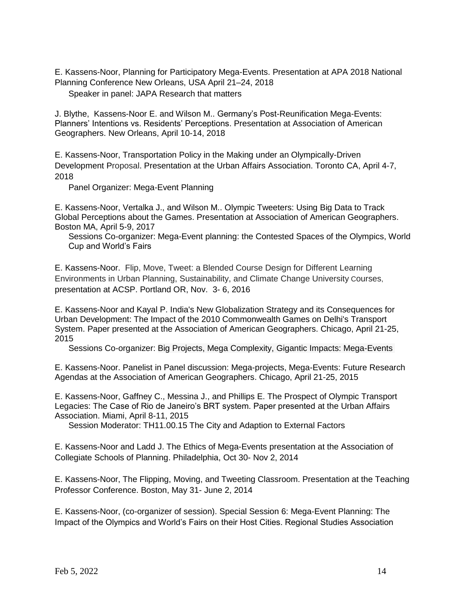E. Kassens-Noor, Planning for Participatory Mega-Events. Presentation at APA 2018 National Planning Conference New Orleans, USA April 21–24, 2018

Speaker in panel: JAPA Research that matters

J. Blythe, Kassens-Noor E. and Wilson M.. Germany's Post-Reunification Mega-Events: Planners' Intentions vs. Residents' Perceptions. Presentation at Association of American Geographers. New Orleans, April 10-14, 2018

E. Kassens-Noor, Transportation Policy in the Making under an Olympically-Driven Development Proposal. Presentation at the Urban Affairs Association. Toronto CA, April 4-7, 2018

Panel Organizer: Mega-Event Planning

E. Kassens-Noor, Vertalka J., and Wilson M.. Olympic Tweeters: Using Big Data to Track Global Perceptions about the Games. Presentation at Association of American Geographers. Boston MA, April 5-9, 2017

Sessions Co-organizer: Mega-Event planning: the Contested Spaces of the Olympics, World Cup and World's Fairs

E. Kassens-Noor. Flip, Move, Tweet: a Blended Course Design for Different Learning Environments in Urban Planning, Sustainability, and Climate Change University Courses, presentation at ACSP. Portland OR, Nov. 3- 6, 2016

E. Kassens-Noor and Kayal P. India's New Globalization Strategy and its Consequences for Urban Development: The Impact of the 2010 Commonwealth Games on Delhi's Transport System. Paper presented at the Association of American Geographers. Chicago, April 21-25, 2015

Sessions Co-organizer: Big Projects, Mega Complexity, Gigantic Impacts: Mega-Events

E. Kassens-Noor. Panelist in Panel discussion: Mega-projects, Mega-Events: Future Research Agendas at the Association of American Geographers. Chicago, April 21-25, 2015

E. Kassens-Noor, Gaffney C., Messina J., and Phillips E. The Prospect of Olympic Transport Legacies: The Case of Rio de Janeiro's BRT system. Paper presented at the Urban Affairs Association. Miami, April 8-11, 2015

Session Moderator: TH11.00.15 The City and Adaption to External Factors

E. Kassens-Noor and Ladd J. The Ethics of Mega-Events presentation at the Association of Collegiate Schools of Planning. Philadelphia, Oct 30- Nov 2, 2014

E. Kassens-Noor, The Flipping, Moving, and Tweeting Classroom. Presentation at the Teaching Professor Conference. Boston, May 31- June 2, 2014

E. Kassens-Noor, (co-organizer of session). Special Session 6: Mega-Event Planning: The Impact of the Olympics and World's Fairs on their Host Cities. Regional Studies Association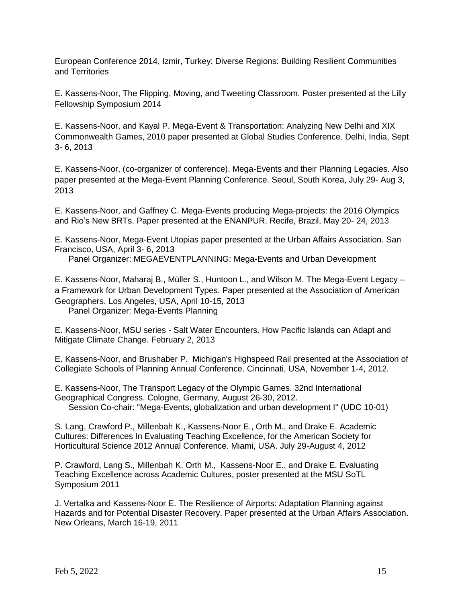European Conference 2014, Izmir, Turkey: Diverse Regions: Building Resilient Communities and Territories

E. Kassens-Noor, The Flipping, Moving, and Tweeting Classroom. Poster presented at the Lilly Fellowship Symposium 2014

E. Kassens-Noor, and Kayal P. Mega-Event & Transportation: Analyzing New Delhi and XIX Commonwealth Games, 2010 paper presented at Global Studies Conference. Delhi, India, Sept 3- 6, 2013

E. Kassens-Noor, (co-organizer of conference). Mega-Events and their Planning Legacies. Also paper presented at the Mega-Event Planning Conference. Seoul, South Korea, July 29- Aug 3, 2013

E. Kassens-Noor, and Gaffney C. Mega-Events producing Mega-projects: the 2016 Olympics and Rio's New BRTs. Paper presented at the ENANPUR. Recife, Brazil, May 20- 24, 2013

E. Kassens-Noor, Mega-Event Utopias paper presented at the Urban Affairs Association. San Francisco, USA, April 3- 6, 2013

Panel Organizer: MEGAEVENTPLANNING: Mega-Events and Urban Development

E. Kassens-Noor, Maharaj B., Müller S., Huntoon L., and Wilson M. The Mega-Event Legacy – a Framework for Urban Development Types. Paper presented at the Association of American Geographers. Los Angeles, USA, April 10-15, 2013 Panel Organizer: Mega-Events Planning

E. Kassens-Noor, MSU series - Salt Water Encounters. How Pacific Islands can Adapt and Mitigate Climate Change. February 2, 2013

E. Kassens-Noor, and Brushaber P. Michigan's Highspeed Rail presented at the Association of Collegiate Schools of Planning Annual Conference. Cincinnati, USA, November 1-4, 2012.

E. Kassens-Noor, The Transport Legacy of the Olympic Games. 32nd International Geographical Congress. Cologne, Germany, August 26-30, 2012. Session Co-chair: "Mega-Events, globalization and urban development I" (UDC 10-01)

S. Lang, Crawford P., Millenbah K., Kassens-Noor E., Orth M., and Drake E. Academic Cultures: Differences In Evaluating Teaching Excellence, for the American Society for Horticultural Science 2012 Annual Conference. Miami, USA. July 29-August 4, 2012

P. Crawford, Lang S., Millenbah K. Orth M., Kassens-Noor E., and Drake E. Evaluating Teaching Excellence across Academic Cultures, poster presented at the MSU SoTL Symposium 2011

J. Vertalka and Kassens-Noor E. The Resilience of Airports: Adaptation Planning against Hazards and for Potential Disaster Recovery. Paper presented at the Urban Affairs Association. New Orleans, March 16-19, 2011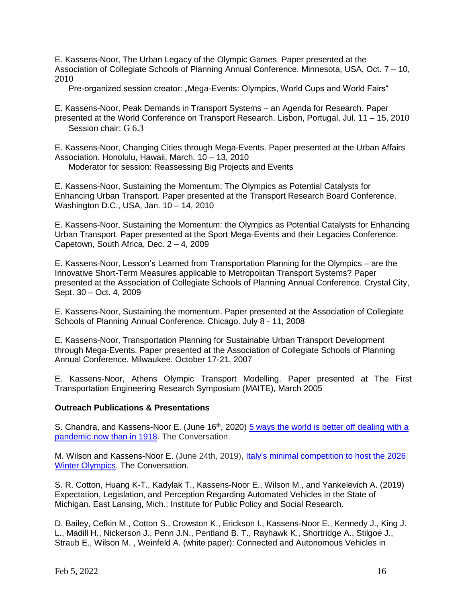E. Kassens-Noor, The Urban Legacy of the Olympic Games. Paper presented at the Association of Collegiate Schools of Planning Annual Conference. Minnesota, USA, Oct. 7 – 10, 2010

Pre-organized session creator: "Mega-Events: Olympics, World Cups and World Fairs"

E. Kassens-Noor, Peak Demands in Transport Systems – an Agenda for Research. Paper presented at the World Conference on Transport Research. Lisbon, Portugal, Jul. 11 – 15, 2010 Session chair: G 6.3

E. Kassens-Noor, Changing Cities through Mega-Events. Paper presented at the Urban Affairs Association. Honolulu, Hawaii, March. 10 – 13, 2010 Moderator for session: Reassessing Big Projects and Events

E. Kassens-Noor, Sustaining the Momentum: The Olympics as Potential Catalysts for Enhancing Urban Transport. Paper presented at the Transport Research Board Conference. Washington D.C., USA, Jan. 10 – 14, 2010

E. Kassens-Noor, Sustaining the Momentum: the Olympics as Potential Catalysts for Enhancing Urban Transport. Paper presented at the Sport Mega-Events and their Legacies Conference. Capetown, South Africa, Dec. 2 – 4, 2009

E. Kassens-Noor, Lesson's Learned from Transportation Planning for the Olympics – are the Innovative Short-Term Measures applicable to Metropolitan Transport Systems? Paper presented at the Association of Collegiate Schools of Planning Annual Conference. Crystal City, Sept. 30 – Oct. 4, 2009

E. Kassens-Noor, Sustaining the momentum. Paper presented at the Association of Collegiate Schools of Planning Annual Conference. Chicago. July 8 - 11, 2008

E. Kassens-Noor, Transportation Planning for Sustainable Urban Transport Development through Mega-Events. Paper presented at the Association of Collegiate Schools of Planning Annual Conference. Milwaukee. October 17-21, 2007

E. Kassens-Noor, Athens Olympic Transport Modelling. Paper presented at The First Transportation Engineering Research Symposium (MAITE), March 2005

# **Outreach Publications & Presentations**

S. Chandra, and Kassens-Noor E. (June 16<sup>th</sup>, 2020) 5 ways the world is better off dealing with a [pandemic now than in 1918.](https://theconversation.com/5-ways-the-world-is-better-off-dealing-with-a-pandemic-now-than-in-1918-139951) The Conversation.

M. Wilson and Kassens-Noor E. (June 24th, 2019), *Italy's minimal competition to host the 2026* [Winter Olympics.](https://theconversation.com/italys-minimal-competition-to-host-the-2026-winter-olympics-119274) The Conversation.

S. R. Cotton, Huang K-T., Kadylak T., Kassens-Noor E., Wilson M., and Yankelevich A. (2019) Expectation, Legislation, and Perception Regarding Automated Vehicles in the State of Michigan. East Lansing, Mich.: Institute for Public Policy and Social Research.

D. Bailey, Cefkin M., Cotton S., Crowston K., Erickson I., Kassens-Noor E., Kennedy J., King J. L., Madill H., Nickerson J., Penn J.N., Pentland B. T., Rayhawk K., Shortridge A., Stilgoe J., Straub E., Wilson M. , Weinfeld A. (white paper): Connected and Autonomous Vehicles in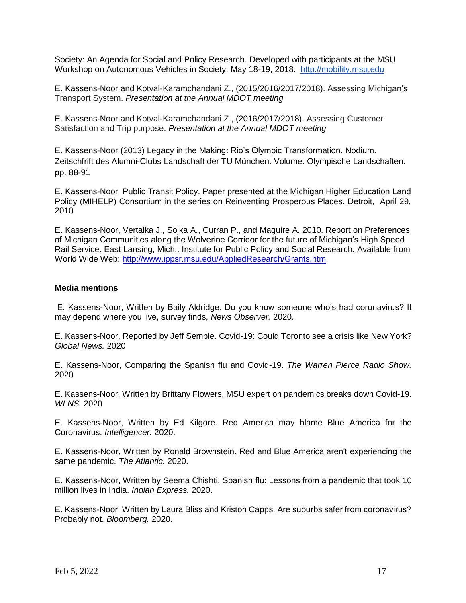Society: An Agenda for Social and Policy Research. Developed with participants at the MSU Workshop on Autonomous Vehicles in Society, May 18-19, 2018: [http://mobility.msu.edu](http://mobility.msu.edu/)

E. Kassens-Noor and Kotval-Karamchandani Z., (2015/2016/2017/2018). Assessing Michigan's Transport System. *Presentation at the Annual MDOT meeting* 

E. Kassens-Noor and Kotval-Karamchandani Z., (2016/2017/2018). Assessing Customer Satisfaction and Trip purpose. *Presentation at the Annual MDOT meeting* 

E. Kassens-Noor (2013) Legacy in the Making: Rio's Olympic Transformation. Nodium. Zeitschfrift des Alumni-Clubs Landschaft der TU München. Volume: Olympische Landschaften. pp. 88-91

E. Kassens-Noor Public Transit Policy. Paper presented at the [Michigan Higher Education Land](http://www.mihelp.org/)  [Policy \(MIHELP\) Consortium](http://www.mihelp.org/) in the series on [Reinventing Prosperous Places.](http://www.mihelp.org/#seminars) Detroit, April 29, 2010

E. Kassens-Noor, Vertalka J., Sojka A., Curran P., and Maguire A. 2010. Report on Preferences of Michigan Communities along the Wolverine Corridor for the future of Michigan's High Speed Rail Service. East Lansing, Mich.: Institute for Public Policy and Social Research. Available from World Wide Web:<http://www.ippsr.msu.edu/AppliedResearch/Grants.htm>

# **Media mentions**

E. Kassens-Noor, Written by Baily Aldridge. Do you know someone who's had coronavirus? It may depend where you live, survey finds, *News Observer.* 2020.

E. Kassens-Noor, Reported by Jeff Semple. Covid-19: Could Toronto see a crisis like New York? *Global News.* 2020

E. Kassens-Noor, Comparing the Spanish flu and Covid-19. *The Warren Pierce Radio Show.*  2020

E. Kassens-Noor, Written by Brittany Flowers. MSU expert on pandemics breaks down Covid-19. *WLNS.* 2020

E. Kassens-Noor, Written by Ed Kilgore. Red America may blame Blue America for the Coronavirus. *Intelligencer.* 2020.

E. Kassens-Noor, Written by Ronald Brownstein. Red and Blue America aren't experiencing the same pandemic. *The Atlantic.* 2020.

E. Kassens-Noor, Written by Seema Chishti. Spanish flu: Lessons from a pandemic that took 10 million lives in India. *Indian Express.* 2020.

E. Kassens-Noor, Written by Laura Bliss and Kriston Capps. Are suburbs safer from coronavirus? Probably not. *Bloomberg.* 2020.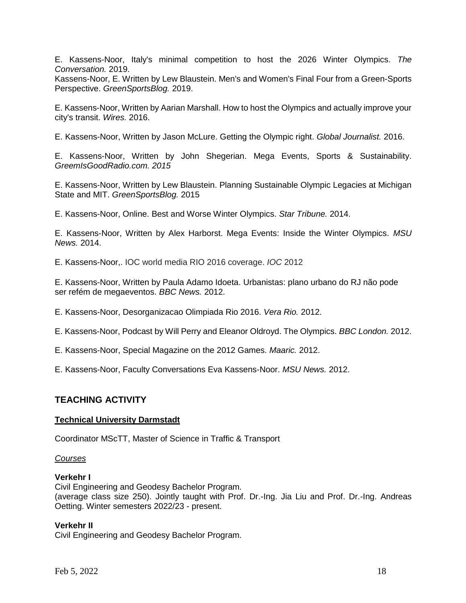E. Kassens-Noor, Italy's minimal competition to host the 2026 Winter Olympics. *The Conversation.* 2019.

Kassens-Noor, E. Written by Lew Blaustein. Men's and Women's Final Four from a Green-Sports Perspective. *GreenSportsBlog.* 2019.

E. Kassens-Noor, Written by Aarian Marshall. How to host the Olympics and actually improve your city's transit. *Wires.* 2016.

E. Kassens-Noor, Written by Jason McLure. Getting the Olympic right. *Global Journalist.* 2016.

E. Kassens-Noor, Written by John Shegerian. Mega Events, Sports & Sustainability. *GreemIsGoodRadio.com. 2015*

E. Kassens-Noor, Written by Lew Blaustein. Planning Sustainable Olympic Legacies at Michigan State and MIT. *GreenSportsBlog.* 2015

E. Kassens-Noor, Online. Best and Worse Winter Olympics. *Star Tribune.* 2014.

E. Kassens-Noor, Written by Alex Harborst. Mega Events: Inside the Winter Olympics. *MSU News.* 2014.

E. Kassens-Noor,. IOC world media RIO 2016 coverage. *IOC* 2012

E. Kassens-Noor, Written by Paula Adamo Idoeta. Urbanistas: plano urbano do RJ não pode ser refém de megaeventos. *BBC News.* 2012.

E. Kassens-Noor, Desorganizacao Olimpiada Rio 2016. *Vera Rio.* 2012.

E. Kassens-Noor, Podcast by Will Perry and Eleanor Oldroyd. The Olympics. *BBC London.* 2012.

E. Kassens-Noor, Special Magazine on the 2012 Games. *Maaric.* 2012.

E. Kassens-Noor, Faculty Conversations Eva Kassens-Noor. *MSU News.* 2012.

# **TEACHING ACTIVITY**

# **Technical University Darmstadt**

Coordinator MScTT, Master of Science in Traffic & Transport

# *Courses*

# **Verkehr I**

Civil Engineering and Geodesy Bachelor Program. (average class size 250). Jointly taught with Prof. Dr.-Ing. Jia Liu and Prof. Dr.-Ing. Andreas Oetting. Winter semesters 2022/23 - present.

# **Verkehr II**

Civil Engineering and Geodesy Bachelor Program.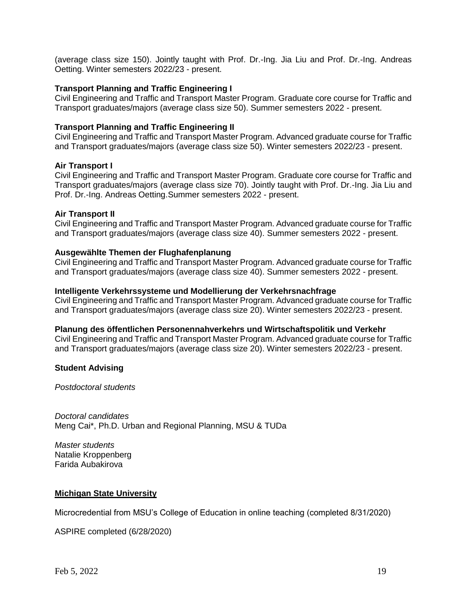(average class size 150). Jointly taught with Prof. Dr.-Ing. Jia Liu and Prof. Dr.-Ing. Andreas Oetting. Winter semesters 2022/23 - present.

# **Transport Planning and Traffic Engineering I**

Civil Engineering and Traffic and Transport Master Program. Graduate core course for Traffic and Transport graduates/majors (average class size 50). Summer semesters 2022 - present.

# **Transport Planning and Traffic Engineering II**

Civil Engineering and Traffic and Transport Master Program. Advanced graduate course for Traffic and Transport graduates/majors (average class size 50). Winter semesters 2022/23 - present.

# **Air Transport I**

Civil Engineering and Traffic and Transport Master Program. Graduate core course for Traffic and Transport graduates/majors (average class size 70). Jointly taught with Prof. Dr.-Ing. Jia Liu and Prof. Dr.-Ing. Andreas Oetting.Summer semesters 2022 - present.

# **Air Transport II**

Civil Engineering and Traffic and Transport Master Program. Advanced graduate course for Traffic and Transport graduates/majors (average class size 40). Summer semesters 2022 - present.

# **Ausgewählte Themen der Flughafenplanung**

Civil Engineering and Traffic and Transport Master Program. Advanced graduate course for Traffic and Transport graduates/majors (average class size 40). Summer semesters 2022 - present.

# **Intelligente Verkehrssysteme und Modellierung der Verkehrsnachfrage**

Civil Engineering and Traffic and Transport Master Program. Advanced graduate course for Traffic and Transport graduates/majors (average class size 20). Winter semesters 2022/23 - present.

# **Planung des öffentlichen Personennahverkehrs und Wirtschaftspolitik und Verkehr**

Civil Engineering and Traffic and Transport Master Program. Advanced graduate course for Traffic and Transport graduates/majors (average class size 20). Winter semesters 2022/23 - present.

# **Student Advising**

*Postdoctoral students*

*Doctoral candidates* Meng Cai\*, Ph.D. Urban and Regional Planning, MSU & TUDa

*Master students* Natalie Kroppenberg Farida Aubakirova

# **Michigan State University**

Microcredential from MSU's College of Education in online teaching (completed 8/31/2020)

ASPIRE completed (6/28/2020)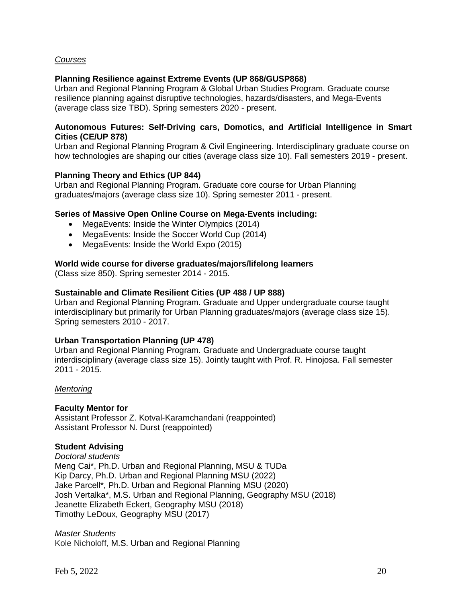# *Courses*

# **Planning Resilience against Extreme Events (UP 868/GUSP868)**

Urban and Regional Planning Program & Global Urban Studies Program. Graduate course resilience planning against disruptive technologies, hazards/disasters, and Mega-Events (average class size TBD). Spring semesters 2020 - present.

# **Autonomous Futures: Self-Driving cars, Domotics, and Artificial Intelligence in Smart Cities (CE/UP 878)**

Urban and Regional Planning Program & Civil Engineering. Interdisciplinary graduate course on how technologies are shaping our cities (average class size 10). Fall semesters 2019 - present.

# **Planning Theory and Ethics (UP 844)**

Urban and Regional Planning Program. Graduate core course for Urban Planning graduates/majors (average class size 10). Spring semester 2011 - present.

#### **Series of Massive Open Online Course on Mega-Events including:**

- MegaEvents: Inside the Winter Olympics (2014)
- MegaEvents: Inside the Soccer World Cup (2014)
- MegaEvents: Inside the World Expo (2015)

# **World wide course for diverse graduates/majors/lifelong learners**

(Class size 850). Spring semester 2014 - 2015.

#### **Sustainable and Climate Resilient Cities (UP 488 / UP 888)**

Urban and Regional Planning Program. Graduate and Upper undergraduate course taught interdisciplinary but primarily for Urban Planning graduates/majors (average class size 15). Spring semesters 2010 - 2017.

# **Urban Transportation Planning (UP 478)**

Urban and Regional Planning Program. Graduate and Undergraduate course taught interdisciplinary (average class size 15). Jointly taught with Prof. R. Hinojosa. Fall semester 2011 - 2015.

# *Mentoring*

# **Faculty Mentor for**

Assistant Professor Z. Kotval-Karamchandani (reappointed) Assistant Professor N. Durst (reappointed)

# **Student Advising**

*Doctoral students* Meng Cai\*, Ph.D. Urban and Regional Planning, MSU & TUDa Kip Darcy, Ph.D. Urban and Regional Planning MSU (2022) Jake Parcell\*, Ph.D. Urban and Regional Planning MSU (2020) Josh Vertalka\*, M.S. Urban and Regional Planning, Geography MSU (2018) Jeanette Elizabeth Eckert, Geography MSU (2018) Timothy LeDoux, Geography MSU (2017)

*Master Students* Kole Nicholoff, M.S. Urban and Regional Planning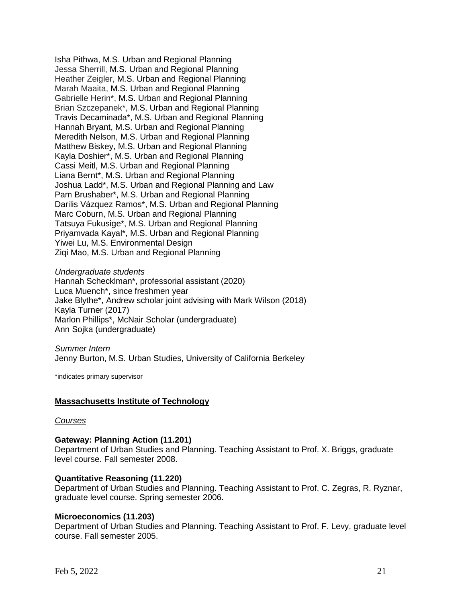Isha Pithwa, M.S. Urban and Regional Planning Jessa Sherrill, M.S. Urban and Regional Planning Heather Zeigler, M.S. Urban and Regional Planning Marah Maaita, M.S. Urban and Regional Planning Gabrielle Herin\*, M.S. Urban and Regional Planning Brian Szczepanek\*, M.S. Urban and Regional Planning Travis Decaminada\*, M.S. Urban and Regional Planning Hannah Bryant, M.S. Urban and Regional Planning Meredith Nelson, M.S. Urban and Regional Planning Matthew Biskey, M.S. Urban and Regional Planning Kayla Doshier\*, M.S. Urban and Regional Planning Cassi Meitl, M.S. Urban and Regional Planning Liana Bernt\*, M.S. Urban and Regional Planning Joshua Ladd\*, M.S. Urban and Regional Planning and Law Pam Brushaber\*, M.S. Urban and Regional Planning Darilis Vázquez Ramos\*, M.S. Urban and Regional Planning Marc Coburn, M.S. Urban and Regional Planning Tatsuya Fukusige\*, M.S. Urban and Regional Planning Priyamvada Kayal\*, M.S. Urban and Regional Planning Yiwei Lu, M.S. Environmental Design Ziqi Mao, M.S. Urban and Regional Planning

#### *Undergraduate students*

Hannah Schecklman\*, professorial assistant (2020) Luca Muench\*, since freshmen year Jake Blythe\*, Andrew scholar joint advising with Mark Wilson (2018) Kayla Turner (2017) Marlon Phillips\*, McNair Scholar (undergraduate) Ann Sojka (undergraduate)

*Summer Intern* Jenny Burton, M.S. Urban Studies, University of California Berkeley

\*indicates primary supervisor

# **Massachusetts Institute of Technology**

#### *Courses*

#### **Gateway: Planning Action (11.201)**

Department of Urban Studies and Planning. Teaching Assistant to Prof. X. Briggs, graduate level course. Fall semester 2008.

#### **Quantitative Reasoning (11.220)**

Department of Urban Studies and Planning. Teaching Assistant to Prof. C. Zegras, R. Ryznar, graduate level course. Spring semester 2006.

#### **Microeconomics (11.203)**

Department of Urban Studies and Planning. Teaching Assistant to Prof. F. Levy, graduate level course. Fall semester 2005.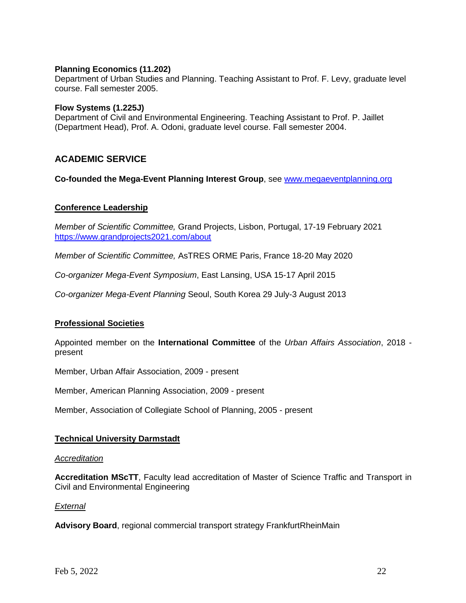# **Planning Economics (11.202)**

Department of Urban Studies and Planning. Teaching Assistant to Prof. F. Levy, graduate level course. Fall semester 2005.

# **Flow Systems (1.225J)**

Department of Civil and Environmental Engineering. Teaching Assistant to Prof. P. Jaillet (Department Head), Prof. A. Odoni, graduate level course. Fall semester 2004.

# **ACADEMIC SERVICE**

**Co-founded the Mega-Event Planning Interest Group**, see [www.megaeventplanning.org](https://sites.google.com/site/ekassens/)

# **Conference Leadership**

*Member of Scientific Committee,* Grand Projects, Lisbon, Portugal, 17-19 February 2021 <https://www.grandprojects2021.com/about>

*Member of Scientific Committee,* AsTRES ORME Paris, France 18-20 May 2020

*Co-organizer Mega-Event Symposium*, East Lansing, USA 15-17 April 2015

*Co-organizer Mega-Event Planning* Seoul, South Korea 29 July-3 August 2013

# **Professional Societies**

Appointed member on the **International Committee** of the *Urban Affairs Association*, 2018 present

Member, Urban Affair Association, 2009 - present

Member, American Planning Association, 2009 - present

Member, Association of Collegiate School of Planning, 2005 - present

# **Technical University Darmstadt**

#### *Accreditation*

**Accreditation MScTT**, Faculty lead accreditation of Master of Science Traffic and Transport in Civil and Environmental Engineering

# *External*

**Advisory Board**, regional commercial transport strategy FrankfurtRheinMain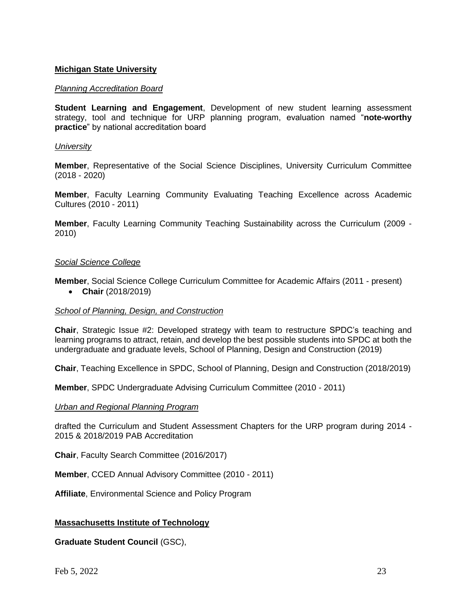# **Michigan State University**

# *Planning Accreditation Board*

**Student Learning and Engagement**, Development of new student learning assessment strategy, tool and technique for URP planning program, evaluation named "**note-worthy practice**" by national accreditation board

#### *University*

**Member**, Representative of the Social Science Disciplines, University Curriculum Committee (2018 - 2020)

**Member**, Faculty Learning Community Evaluating Teaching Excellence across Academic Cultures (2010 - 2011)

**Member**, Faculty Learning Community Teaching Sustainability across the Curriculum (2009 - 2010)

#### *Social Science College*

**Member**, Social Science College Curriculum Committee for Academic Affairs (2011 - present)

• **Chair** (2018/2019)

# *School of Planning, Design, and Construction*

**Chair**, Strategic Issue #2: Developed strategy with team to restructure SPDC's teaching and learning programs to attract, retain, and develop the best possible students into SPDC at both the undergraduate and graduate levels, School of Planning, Design and Construction (2019)

**Chair**, Teaching Excellence in SPDC, School of Planning, Design and Construction (2018/2019)

**Member**, SPDC Undergraduate Advising Curriculum Committee (2010 - 2011)

#### *Urban and Regional Planning Program*

drafted the Curriculum and Student Assessment Chapters for the URP program during 2014 - 2015 & 2018/2019 PAB Accreditation

**Chair**, Faculty Search Committee (2016/2017)

**Member**, CCED Annual Advisory Committee (2010 - 2011)

**Affiliate**, Environmental Science and Policy Program

# **Massachusetts Institute of Technology**

**Graduate Student Council** (GSC),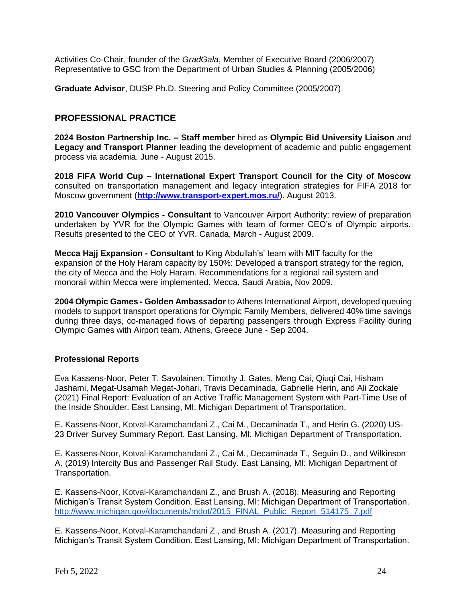Activities Co-Chair, founder of the *GradGala*, Member of Executive Board (2006/2007) Representative to GSC from the Department of Urban Studies & Planning (2005/2006)

**Graduate Advisor**, DUSP Ph.D. Steering and Policy Committee (2005/2007)

# **PROFESSIONAL PRACTICE**

**2024 Boston Partnership Inc. – Staff member** hired as **Olympic Bid University Liaison** and **Legacy and Transport Planner** leading the development of academic and public engagement process via academia. June - August 2015.

**2018 FIFA World Cup – International Expert Transport Council for the City of Moscow** consulted on transportation management and legacy integration strategies for FIFA 2018 for Moscow government (**<http://www.transport-expert.mos.ru/>**). August 2013.

**2010 Vancouver Olympics - Consultant** to Vancouver Airport Authority; review of preparation undertaken by YVR for the Olympic Games with team of former CEO's of Olympic airports. Results presented to the CEO of YVR. Canada, March - August 2009.

**Mecca Hajj Expansion - Consultant** to King Abdullah's' team with MIT faculty for the expansion of the Holy Haram capacity by 150%: Developed a transport strategy for the region, the city of Mecca and the Holy Haram. Recommendations for a regional rail system and monorail within Mecca were implemented. Mecca, Saudi Arabia, Nov 2009.

**2004 Olympic Games - Golden Ambassador** to Athens International Airport, developed queuing models to support transport operations for Olympic Family Members, delivered 40% time savings during three days, co-managed flows of departing passengers through Express Facility during Olympic Games with Airport team. Athens, Greece June - Sep 2004.

# **Professional Reports**

Eva Kassens-Noor, Peter T. Savolainen, Timothy J. Gates, Meng Cai, Qiuqi Cai, Hisham Jashami, Megat-Usamah Megat-Johari, Travis Decaminada, Gabrielle Herin, and Ali Zockaie (2021) Final Report: Evaluation of an Active Traffic Management System with Part-Time Use of the Inside Shoulder. East Lansing, MI: Michigan Department of Transportation.

E. Kassens-Noor, Kotval-Karamchandani Z., Cai M., Decaminada T., and Herin G. (2020) US-23 Driver Survey Summary Report. East Lansing, MI: Michigan Department of Transportation.

E. Kassens-Noor, Kotval-Karamchandani Z., Cai M., Decaminada T., Seguin D., and Wilkinson A. (2019) Intercity Bus and Passenger Rail Study. East Lansing, MI: Michigan Department of Transportation.

E. Kassens-Noor, Kotval-Karamchandani Z., and Brush A. (2018). Measuring and Reporting Michigan's Transit System Condition. East Lansing, MI: Michigan Department of Transportation. [http://www.michigan.gov/documents/mdot/2015\\_FINAL\\_Public\\_Report\\_514175\\_7.pdf](http://www.michigan.gov/documents/mdot/2015_FINAL_Public_Report_514175_7.pdf)

E. Kassens-Noor, Kotval-Karamchandani Z., and Brush A. (2017). Measuring and Reporting Michigan's Transit System Condition. East Lansing, MI: Michigan Department of Transportation.